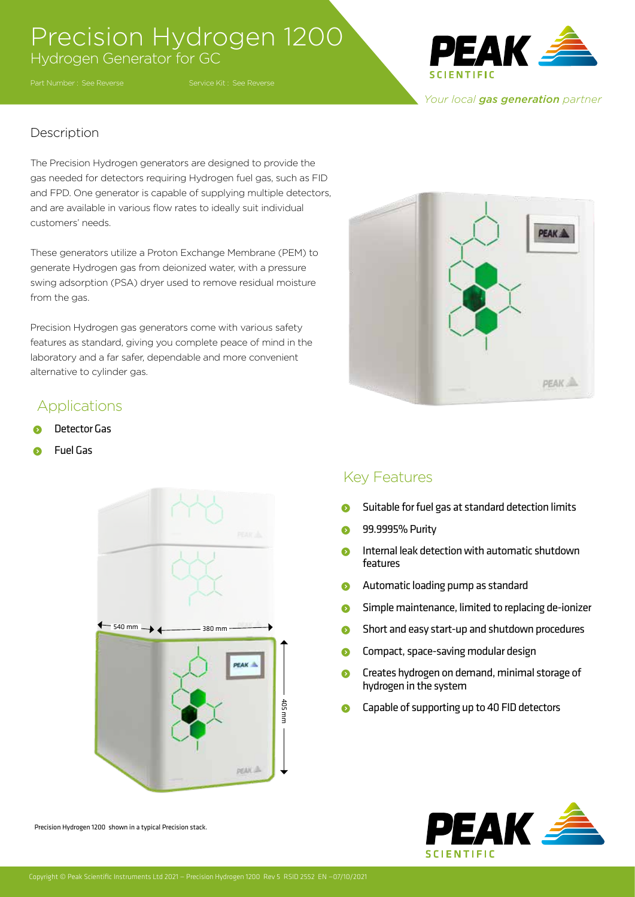## Precision Hydrogen 1200 Hydrogen Generator for GC

Part Number : See Reverse

Service Kit : See Reverse



#### *Your local gas generation partner*

#### Description

The Precision Hydrogen generators are designed to provide the gas needed for detectors requiring Hydrogen fuel gas, such as FID and FPD. One generator is capable of supplying multiple detectors, and are available in various flow rates to ideally suit individual customers' needs.

These generators utilize a Proton Exchange Membrane (PEM) to generate Hydrogen gas from deionized water, with a pressure swing adsorption (PSA) dryer used to remove residual moisture from the gas.

Precision Hydrogen gas generators come with various safety features as standard, giving you complete peace of mind in the laboratory and a far safer, dependable and more convenient alternative to cylinder gas.

### Applications

- ) Detector Gas
- ) Fuel Gas



Precision Hydrogen 1200 shown in a typical Precision stack.



#### Key Features

- ) Suitable for fuel gas at standard detection limits
- ) 99.9995% Purity
- **O** Internal leak detection with automatic shutdown features
- **•** Automatic loading pump as standard
- **•** Simple maintenance, limited to replacing de-ionizer
- **•** Short and easy start-up and shutdown procedures
- ) Compact, space-saving modular design
- **C** Creates hydrogen on demand, minimal storage of hydrogen in the system
- **C** Capable of supporting up to 40 FID detectors